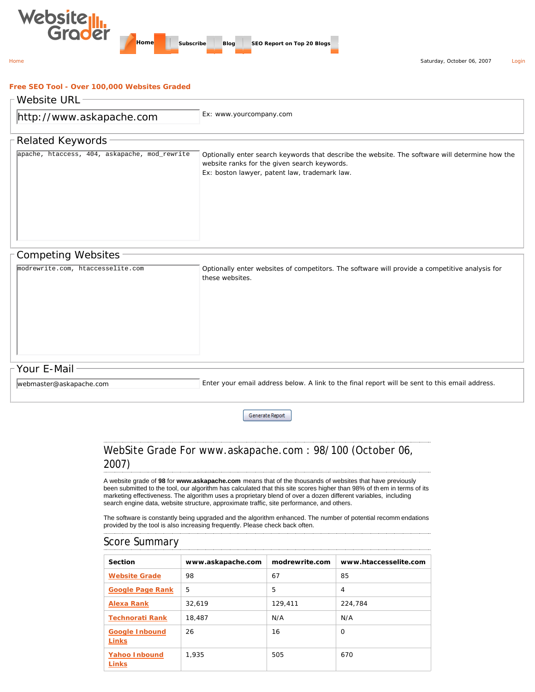

#### **Free SEO Tool - Over 100,000 Websites Graded**

| Website URL-                                  |                                                                                                                                                                                                  |  |
|-----------------------------------------------|--------------------------------------------------------------------------------------------------------------------------------------------------------------------------------------------------|--|
| http://www.askapache.com                      | Ex: www.yourcompany.com                                                                                                                                                                          |  |
| -Related Keywords <sup>.</sup>                |                                                                                                                                                                                                  |  |
| apache, htaccess, 404, askapache, mod_rewrite | Optionally enter search keywords that describe the website. The software will determine how the<br>website ranks for the given search keywords.<br>Ex: boston lawyer, patent law, trademark law. |  |

### Competing Websites

| modrewrite.com, htaccesselite.com | Optionally enter websites of competitors. The software will provide a competitive analysis for<br>these websites. |
|-----------------------------------|-------------------------------------------------------------------------------------------------------------------|
|                                   |                                                                                                                   |
| - Your E-Mail-                    |                                                                                                                   |

webmaster@askapache.com

Enter your email address below. A link to the final report will be sent to this email address.

Generate Report

# WebSite Grade For www.askapache.com : 98/100 (October 06, 2007)

A website grade of **98** for **www.askapache.com** means that of the thousands of websites that have previously been submitted to the tool, our algorithm has calculated that this site scores higher than 98% of th em in terms of its marketing effectiveness. The algorithm uses a proprietary blend of over a dozen different variables, including search engine data, website structure, approximate traffic, site performance, and others.

The software is constantly being upgraded and the algorithm enhanced. The number of potential recomm endations provided by the tool is also increasing frequently. Please check back often.

## Score Summary Section **www.askapache.com** modrewrite.com www.htaccesselite.com **Website Grade** 98 67 85 **Google Page Rank** 5 5 4 **Alexa Rank** 32,619 129,411 224,784 **Technorati Rank** 18,487 N/A N/A **Google Inbound Links** 26 16 0 **Yahoo Inbound Links** 1,935 505 670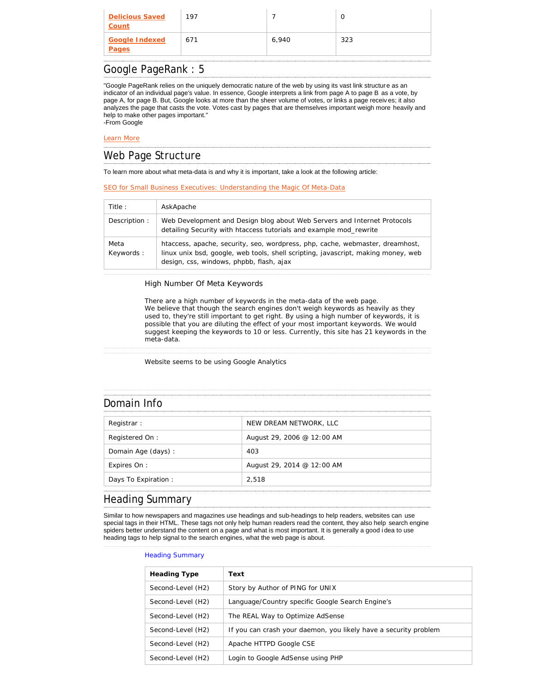| Count                                 |       |     |
|---------------------------------------|-------|-----|
| <b>Google Indexed</b><br>671<br>Pages | 6.940 | 323 |

### Google PageRank : 5

"Google PageRank relies on the uniquely democratic nature of the web by using its vast link structure as an indicator of an individual page's value. In essence, Google interprets a link from page A to page B as a vote, by page A, for page B. But, Google looks at more than the sheer volume of votes, or links a page receiv es; it also analyzes the page that casts the vote. Votes cast by pages that are themselves important weigh more heavily and help to make other pages important." -From Google

#### Learn More \_\_\_\_\_\_\_\_\_\_\_\_\_\_\_\_\_\_\_\_\_\_\_\_\_\_\_\_\_\_

#### Web Page Structure

To learn more about what meta-data is and why it is important, take a look at the following article:

#### SEO for Small Business Executives: Understanding the Magic Of Meta-Data

| Title:            | AskApache                                                                                                                                                                                                      |
|-------------------|----------------------------------------------------------------------------------------------------------------------------------------------------------------------------------------------------------------|
| Description:      | Web Development and Design blog about Web Servers and Internet Protocols<br>detailing Security with htaccess tutorials and example mod rewrite                                                                 |
| Meta<br>Keywords: | htaccess, apache, security, seo, wordpress, php, cache, webmaster, dreamhost,<br>linux unix bsd, google, web tools, shell scripting, javascript, making money, web<br>design, css, windows, phpbb, flash, ajax |

#### High Number Of Meta Keywords

There are a high number of keywords in the meta-data of the web page. We believe that though the search engines don't weigh keywords as heavily as they used to, they're still important to get right. By using a high number of keywords, it is possible that you are diluting the effect of your most important keywords. We would suggest keeping the keywords to 10 or less. Currently, this site has 21 keywords in the meta-data.

Website seems to be using Google Analytics

### Domain Info

| Registrar:           | NEW DREAM NETWORK, LLC     |
|----------------------|----------------------------|
| Registered On:       | August 29, 2006 @ 12:00 AM |
| Domain Age (days) :  | 403                        |
| Expires On :         | August 29, 2014 @ 12:00 AM |
| Days To Expiration : | 2.518                      |

#### Heading Summary

Similar to how newspapers and magazines use headings and sub-headings to help readers, websites can use special tags in their HTML. These tags not only help human readers read the content, they also help search engine spiders better understand the content on a page and what is most important. It is generally a good i dea to use heading tags to help signal to the search engines, what the web page is about.

#### Heading Summary

| <b>Heading Type</b> | Text                                                             |
|---------------------|------------------------------------------------------------------|
| Second-Level (H2)   | Story by Author of PING for UNIX                                 |
| Second-Level (H2)   | Language/Country specific Google Search Engine's                 |
| Second-Level (H2)   | The REAL Way to Optimize AdSense                                 |
| Second-Level (H2)   | If you can crash your daemon, you likely have a security problem |
| Second-Level (H2)   | Apache HTTPD Google CSE                                          |
| Second-Level (H2)   | Login to Google AdSense using PHP                                |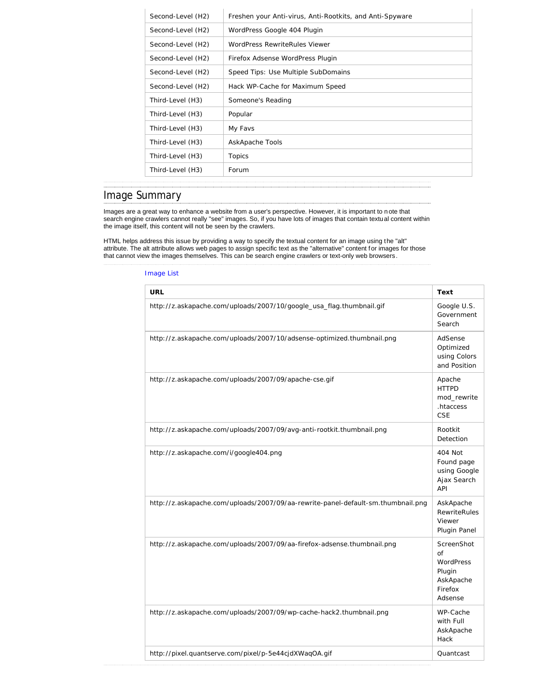| Second-Level (H2) | Freshen your Anti-virus, Anti-Rootkits, and Anti-Spyware |
|-------------------|----------------------------------------------------------|
| Second-Level (H2) | WordPress Google 404 Plugin                              |
| Second-Level (H2) | WordPress RewriteRules Viewer                            |
| Second-Level (H2) | Firefox Adsense WordPress Plugin                         |
| Second-Level (H2) | Speed Tips: Use Multiple SubDomains                      |
| Second-Level (H2) | Hack WP-Cache for Maximum Speed                          |
| Third-Level (H3)  | Someone's Reading                                        |
| Third-Level (H3)  | Popular                                                  |
| Third-Level (H3)  | My Favs                                                  |
| Third-Level (H3)  | AskApache Tools                                          |
| Third-Level (H3)  | Topics                                                   |
| Third-Level (H3)  | Forum                                                    |

# Image Summary

Images are a great way to enhance a website from a user's perspective. However, it is important to note that search engine crawlers cannot really "see" images. So, if you have lots of images that contain textual content within the image itself, this content will not be seen by the crawlers.

HTML helps address this issue by providing a way to specify the textual content for an image using the "alt" attribute. The alt attribute allows web pages to assign specific text as the "alternative" content for images for those that cannot view the images themselves. This can be search engine crawlers or text-only web browsers.

#### Image List

| <b>URL</b>                                                                       | Text                                                                               |
|----------------------------------------------------------------------------------|------------------------------------------------------------------------------------|
| http://z.askapache.com/uploads/2007/10/google_usa_flag.thumbnail.gif             | Google U.S.<br>Government<br>Search                                                |
| http://z.askapache.com/uploads/2007/10/adsense-optimized.thumbnail.png           | AdSense<br>Optimized<br>using Colors<br>and Position                               |
| http://z.askapache.com/uploads/2007/09/apache-cse.gif                            | Apache<br><b>HTTPD</b><br>mod rewrite<br>.htaccess<br><b>CSE</b>                   |
| http://z.askapache.com/uploads/2007/09/avg-anti-rootkit.thumbnail.png            | Rootkit<br>Detection                                                               |
| http://z.askapache.com/i/google404.png                                           | 404 Not<br>Found page<br>using Google<br>Ajax Search<br>API                        |
| http://z.askapache.com/uploads/2007/09/aa-rewrite-panel-default-sm.thumbnail.png | AskApache<br><b>RewriteRules</b><br>Viewer<br>Plugin Panel                         |
| http://z.askapache.com/uploads/2007/09/aa-firefox-adsense.thumbnail.png          | ScreenShot<br>$\alpha$ f<br>WordPress<br>Plugin<br>AskApache<br>Firefox<br>Adsense |
| http://z.askapache.com/uploads/2007/09/wp-cache-hack2.thumbnail.png              | WP-Cache<br>with Full<br>AskApache<br>Hack                                         |
| http://pixel.quantserve.com/pixel/p-5e44cjdXWaqOA.gif                            | Quantcast                                                                          |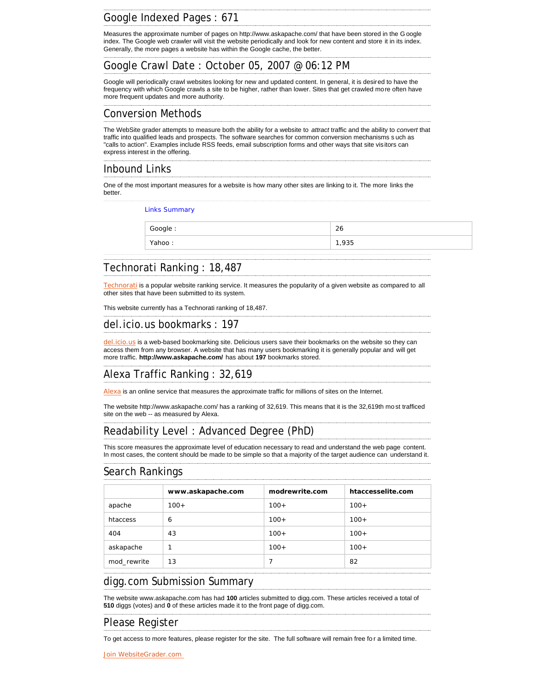## Google Indexed Pages : 671

Measures the approximate number of pages on http://www.askapache.com/ that have been stored in the G oogle index. The Google web crawler will visit the website periodically and look for new content and store it in its index. Generally, the more pages a website has within the Google cache, the better.

## Google Crawl Date : October 05, 2007 @ 06:12 PM

Google will periodically crawl websites looking for new and updated content. In general, it is desired to have the frequency with which Google crawls a site to be higher, rather than lower. Sites that get crawled more often have more frequent updates and more authority.

#### Conversion Methods

The WebSite grader attempts to measure both the ability for a website to *attract* traffic and the ability to *convert* that traffic into qualified leads and prospects. The software searches for common conversion mechanisms s uch as "calls to action". Examples include RSS feeds, email subscription forms and other ways that site visitors can express interest in the offering.

### Inbound Links

One of the most important measures for a website is how many other sites are linking to it. The more links the better.

Links Summary

| Google: | 26    |
|---------|-------|
| Yahoo:  | 1,935 |
|         |       |

## Technorati Ranking : 18,487

Technorati is a popular website ranking service. It measures the popularity of a given website as compared to all other sites that have been submitted to its system.

This website currently has a Technorati ranking of 18,487.

## del.icio.us bookmarks : 197

del.icio.us is a web-based bookmarking site. Delicious users save their bookmarks on the website so they can access them from any browser. A website that has many users bookmarking it is generally popular and will get more traffic. **http://www.askapache.com/** has about **197** bookmarks stored.

# Alexa Traffic Ranking : 32,619

Alexa is an online service that measures the approximate traffic for millions of sites on the Internet.

The website http://www.askapache.com/ has a ranking of 32,619. This means that it is the 32,619th mo st trafficed site on the web -- as measured by Alexa.

## Readability Level : Advanced Degree (PhD)

This score measures the approximate level of education necessary to read and understand the web page content. In most cases, the content should be made to be simple so that a majority of the target audience can understand it.

#### Search Rankings

|             | www.askapache.com | modrewrite.com | htaccesselite.com |
|-------------|-------------------|----------------|-------------------|
| apache      | $100+$            | $100+$         | $100+$            |
| htaccess    | 6                 | $100+$         | $100+$            |
| 404         | 43                | $100+$         | $100+$            |
| askapache   |                   | $100+$         | $100+$            |
| mod rewrite | 13                | 7              | 82                |

### digg.com Submission Summary

The website www.askapache.com has had **100** articles submitted to digg.com. These articles received a total of **510** diggs (votes) and **0** of these articles made it to the front page of digg.com.

## Please Register

To get access to more features, please register for the site. The full software will remain free fo r a limited time.